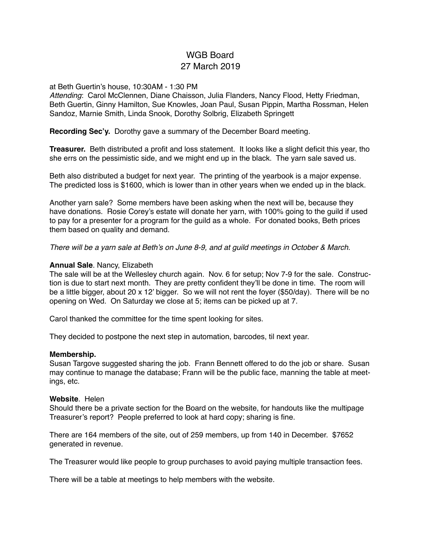# WGB Board 27 March 2019

#### at Beth Guertin's house, 10:30AM - 1:30 PM

*Attending*: Carol McClennen, Diane Chaisson, Julia Flanders, Nancy Flood, Hetty Friedman, Beth Guertin, Ginny Hamilton, Sue Knowles, Joan Paul, Susan Pippin, Martha Rossman, Helen Sandoz, Marnie Smith, Linda Snook, Dorothy Solbrig, Elizabeth Springett

#### **Recording Sec'y.** Dorothy gave a summary of the December Board meeting.

**Treasurer.** Beth distributed a profit and loss statement. It looks like a slight deficit this year, tho she errs on the pessimistic side, and we might end up in the black. The yarn sale saved us.

Beth also distributed a budget for next year. The printing of the yearbook is a major expense. The predicted loss is \$1600, which is lower than in other years when we ended up in the black.

Another yarn sale? Some members have been asking when the next will be, because they have donations. Rosie Corey's estate will donate her yarn, with 100% going to the guild if used to pay for a presenter for a program for the guild as a whole. For donated books, Beth prices them based on quality and demand.

*There will be a yarn sale at Beth's on June 8-9, and at guild meetings in October & March.*

#### **Annual Sale**. Nancy, Elizabeth

The sale will be at the Wellesley church again. Nov. 6 for setup; Nov 7-9 for the sale. Construction is due to start next month. They are pretty confident they'll be done in time. The room will be a little bigger, about 20 x 12' bigger. So we will not rent the foyer (\$50/day). There will be no opening on Wed. On Saturday we close at 5; items can be picked up at 7.

Carol thanked the committee for the time spent looking for sites.

They decided to postpone the next step in automation, barcodes, til next year.

#### **Membership.**

Susan Targove suggested sharing the job. Frann Bennett offered to do the job or share. Susan may continue to manage the database; Frann will be the public face, manning the table at meetings, etc.

#### **Website**. Helen

Should there be a private section for the Board on the website, for handouts like the multipage Treasurer's report? People preferred to look at hard copy; sharing is fine.

There are 164 members of the site, out of 259 members, up from 140 in December. \$7652 generated in revenue.

The Treasurer would like people to group purchases to avoid paying multiple transaction fees.

There will be a table at meetings to help members with the website.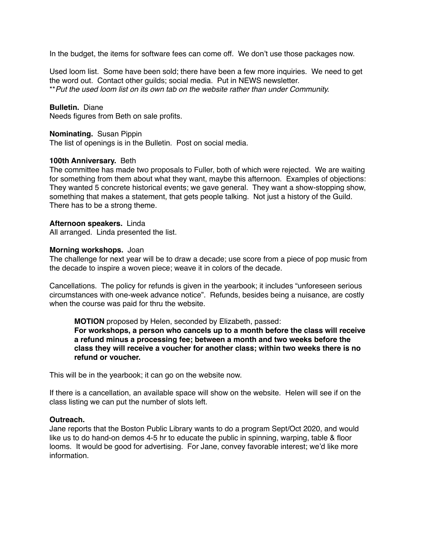In the budget, the items for software fees can come off. We don't use those packages now.

Used loom list. Some have been sold; there have been a few more inquiries. We need to get the word out. Contact other guilds; social media. Put in NEWS newsletter. \*\**Put the used loom list on its own tab on the website rather than under Community.*

## **Bulletin.** Diane

Needs figures from Beth on sale profits.

## **Nominating.** Susan Pippin

The list of openings is in the Bulletin. Post on social media.

## **100th Anniversary.** Beth

The committee has made two proposals to Fuller, both of which were rejected. We are waiting for something from them about what they want, maybe this afternoon. Examples of objections: They wanted 5 concrete historical events; we gave general. They want a show-stopping show, something that makes a statement, that gets people talking. Not just a history of the Guild. There has to be a strong theme.

## **Afternoon speakers.** Linda

All arranged. Linda presented the list.

#### **Morning workshops.** Joan

The challenge for next year will be to draw a decade; use score from a piece of pop music from the decade to inspire a woven piece; weave it in colors of the decade.

Cancellations. The policy for refunds is given in the yearbook; it includes "unforeseen serious circumstances with one-week advance notice". Refunds, besides being a nuisance, are costly when the course was paid for thru the website.

## **MOTION** proposed by Helen, seconded by Elizabeth, passed: **For workshops, a person who cancels up to a month before the class will receive a refund minus a processing fee; between a month and two weeks before the class they will receive a voucher for another class; within two weeks there is no refund or voucher.**

This will be in the yearbook; it can go on the website now.

If there is a cancellation, an available space will show on the website. Helen will see if on the class listing we can put the number of slots left.

#### **Outreach.**

Jane reports that the Boston Public Library wants to do a program Sept/Oct 2020, and would like us to do hand-on demos 4-5 hr to educate the public in spinning, warping, table & floor looms. It would be good for advertising. For Jane, convey favorable interest; we'd like more information.